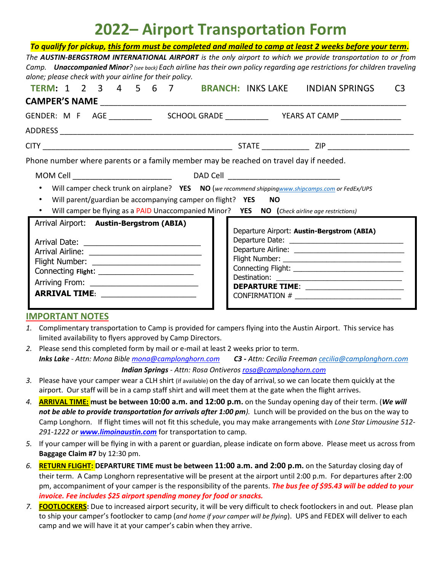# **2022– Airport Transportation Form**

| To qualify for pickup, this form must be completed and mailed to camp at least 2 weeks before your term.                  |  |  |                                            |                |
|---------------------------------------------------------------------------------------------------------------------------|--|--|--------------------------------------------|----------------|
| The AUSTIN-BERGSTROM INTERNATIONAL AIRPORT is the only airport to which we provide transportation to or from              |  |  |                                            |                |
| Camp. Unaccompanied Minor? (see back) Each airline has their own policy regarding age restrictions for children traveling |  |  |                                            |                |
| alone; please check with your airline for their policy.                                                                   |  |  |                                            |                |
| <b>TERM:</b> 1 2 3 4 5 6 7 <b>BRANCH:</b> INKS LAKE                                                                       |  |  | <b>INDIAN SPRINGS</b>                      | C <sub>3</sub> |
|                                                                                                                           |  |  |                                            |                |
|                                                                                                                           |  |  |                                            |                |
|                                                                                                                           |  |  |                                            |                |
|                                                                                                                           |  |  |                                            |                |
| Phone number where parents or a family member may be reached on travel day if needed.                                     |  |  |                                            |                |
|                                                                                                                           |  |  |                                            |                |
| Will camper check trunk on airplane? YES NO (we recommend shippingwww.shipcamps.com or FedEx/UPS                          |  |  |                                            |                |
| Will parent/guardian be accompanying camper on flight? YES NO                                                             |  |  |                                            |                |
| Will camper be flying as a PAID Unaccompanied Minor? YES NO (Check airline age restrictions)<br>$\bullet$                 |  |  |                                            |                |
| Arrival Airport: Austin-Bergstrom (ABIA)                                                                                  |  |  |                                            |                |
|                                                                                                                           |  |  | Departure Airport: Austin-Bergstrom (ABIA) |                |
|                                                                                                                           |  |  |                                            |                |
| Flight Number: ____________________________                                                                               |  |  |                                            |                |
|                                                                                                                           |  |  |                                            |                |
| Arriving From: _____________________________                                                                              |  |  | DEPARTURE TIME: ________________________   |                |
| ARRIVAL TIME: ______________________                                                                                      |  |  |                                            |                |
| <b>IMPORTANT NOTES</b>                                                                                                    |  |  |                                            |                |

- *1.* Complimentary transportation to Camp is provided for campers flying into the Austin Airport. This service has limited availability to flyers approved by Camp Directors.
- *2.* Please send this completed form by mail or e-mail at least 2 weeks prior to term. *Inks Lake - Attn: Mona Bible mona@camplonghorn.com C3 - Attn: Cecilia Freema[n cecilia@camplonghorn.com](mailto:cecilia@camplonghorn.com)*

#### *Indian Springs - Attn: Rosa Ontiveros rosa@camplonghorn.com*

- *3.* Please have your camper wear a CLH shirt (if available) on the day of arrival, so we can locate them quickly at the airport. Our staff will be in a camp staff shirt and will meet them at the gate when the flight arrives.
- *4.* **ARRIVAL TIME: must be between 10:00 a.m. and 12:00 p.m.** on the Sunday opening day of their term. (*We will not be able to provide transportation for arrivals after 1:00 pm).* Lunch will be provided on the bus on the way to Camp Longhorn. If flight times will not fit this schedule, you may make arrangements with *Lone Star Limousine 512- 291-1222 or [www.limoinaustin.com](http://www.limoinaustin.com/)* for transportation to camp.
- *5.* If your camper will be flying in with a parent or guardian, please indicate on form above. Please meet us across from **Baggage Claim #7** by 12:30 pm.
- *6.* **RETURN FLIGHT: DEPARTURE TIME must be between 11:00 a.m. and 2:00 p.m.** on the Saturday closing day of their term. A Camp Longhorn representative will be present at the airport until 2:00 p.m. For departures after 2:00 pm, accompaniment of your camper is the responsibility of the parents. *The bus fee of \$95.43 will be added to your invoice. Fee includes \$25 airport spending money for food or snacks.*
- *7.* **FOOTLOCKERS:** Due to increased airport security, it will be very difficult to check footlockers in and out. Please plan to ship your camper's footlocker to camp (*and home if your camper will be flying*). UPS and FEDEX will deliver to each camp and we will have it at your camper's cabin when they arrive.